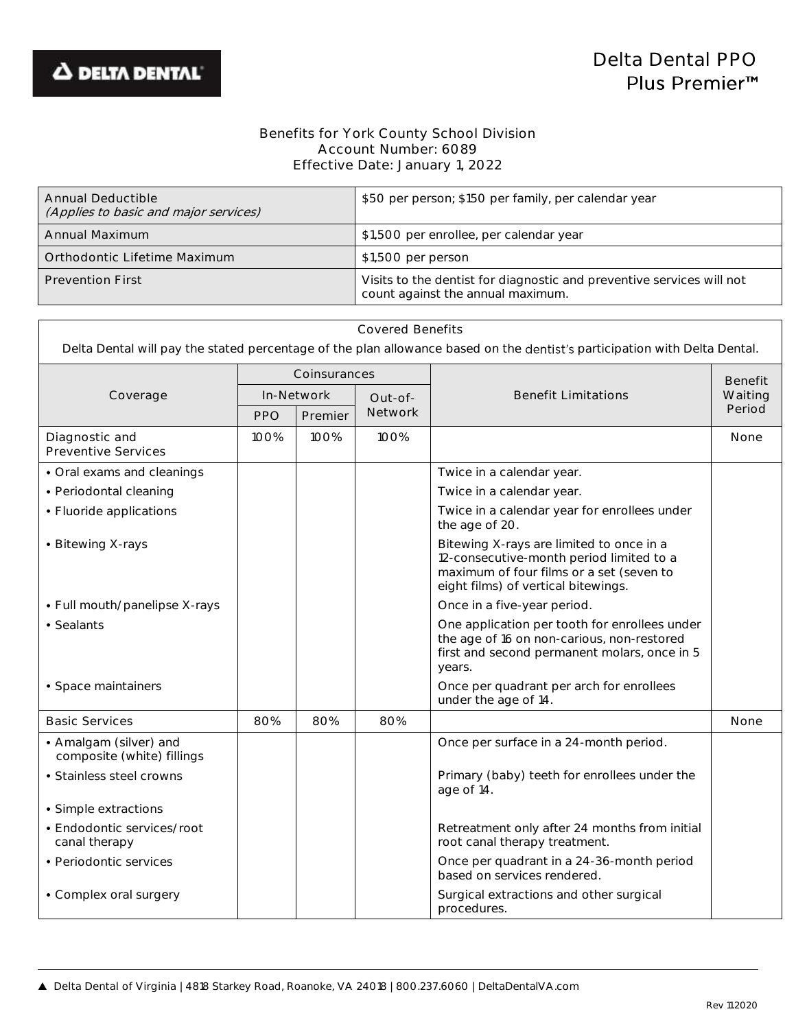$\Gamma$ 

## Benefits for York County School Division Account Number: 6089 Effective Date: January 1, 2022

| Annual Deductible<br>(Applies to basic and major services) | \$50 per person; \$150 per family, per calendar year                                                       |
|------------------------------------------------------------|------------------------------------------------------------------------------------------------------------|
| Annual Maximum                                             | \$1,500 per enrollee, per calendar year                                                                    |
| Orthodontic Lifetime Maximum                               | \$1,500 per person                                                                                         |
| <b>Prevention First</b>                                    | Visits to the dentist for diagnostic and preventive services will not<br>count against the annual maximum. |

| <b>Covered Benefits</b><br>Delta Dental will pay the stated percentage of the plan allowance based on the dentist's participation with Delta Dental. |              |         |         |                                                                                                                                                                         |                |  |
|------------------------------------------------------------------------------------------------------------------------------------------------------|--------------|---------|---------|-------------------------------------------------------------------------------------------------------------------------------------------------------------------------|----------------|--|
|                                                                                                                                                      | Coinsurances |         |         |                                                                                                                                                                         | <b>Benefit</b> |  |
| Coverage                                                                                                                                             | In-Network   |         | Out-of- | <b>Benefit Limitations</b>                                                                                                                                              | Waiting        |  |
|                                                                                                                                                      | <b>PPO</b>   | Premier | Network |                                                                                                                                                                         | Period         |  |
| Diagnostic and<br><b>Preventive Services</b>                                                                                                         | 100%         | 100%    | 100%    |                                                                                                                                                                         | None           |  |
| • Oral exams and cleanings                                                                                                                           |              |         |         | Twice in a calendar year.                                                                                                                                               |                |  |
| • Periodontal cleaning                                                                                                                               |              |         |         | Twice in a calendar year.                                                                                                                                               |                |  |
| • Fluoride applications                                                                                                                              |              |         |         | Twice in a calendar year for enrollees under<br>the age of 20.                                                                                                          |                |  |
| • Bitewing X-rays                                                                                                                                    |              |         |         | Bitewing X-rays are limited to once in a<br>12-consecutive-month period limited to a<br>maximum of four films or a set (seven to<br>eight films) of vertical bitewings. |                |  |
| • Full mouth/panelipse X-rays                                                                                                                        |              |         |         | Once in a five-year period.                                                                                                                                             |                |  |
| • Sealants                                                                                                                                           |              |         |         | One application per tooth for enrollees under<br>the age of 16 on non-carious, non-restored<br>first and second permanent molars, once in 5<br>years.                   |                |  |
| • Space maintainers                                                                                                                                  |              |         |         | Once per quadrant per arch for enrollees<br>under the age of 14.                                                                                                        |                |  |
| <b>Basic Services</b>                                                                                                                                | 80%          | 80%     | 80%     |                                                                                                                                                                         | None           |  |
| • Amalgam (silver) and<br>composite (white) fillings                                                                                                 |              |         |         | Once per surface in a 24-month period.                                                                                                                                  |                |  |
| • Stainless steel crowns                                                                                                                             |              |         |         | Primary (baby) teeth for enrollees under the<br>age of 14.                                                                                                              |                |  |
| · Simple extractions                                                                                                                                 |              |         |         |                                                                                                                                                                         |                |  |
| • Endodontic services/root<br>canal therapy                                                                                                          |              |         |         | Retreatment only after 24 months from initial<br>root canal therapy treatment.                                                                                          |                |  |
| • Periodontic services                                                                                                                               |              |         |         | Once per quadrant in a 24-36-month period<br>based on services rendered.                                                                                                |                |  |
| • Complex oral surgery                                                                                                                               |              |         |         | Surgical extractions and other surgical<br>procedures.                                                                                                                  |                |  |